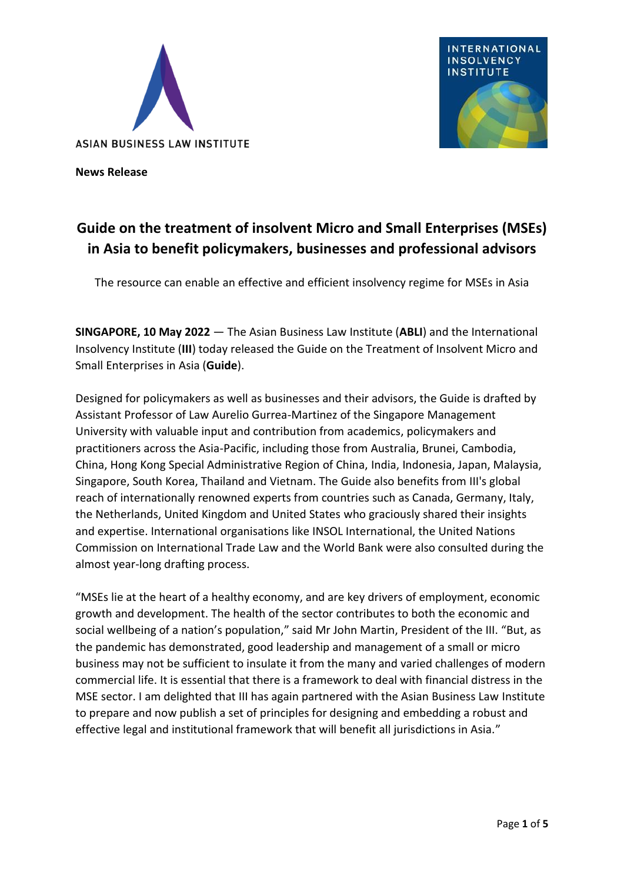



**News Release**

# **Guide on the treatment of insolvent Micro and Small Enterprises (MSEs) in Asia to benefit policymakers, businesses and professional advisors**

The resource can enable an effective and efficient insolvency regime for MSEs in Asia

**SINGAPORE, 10 May 2022** — The Asian Business Law Institute (**ABLI**) and the International Insolvency Institute (**III**) today released the Guide on the Treatment of Insolvent Micro and Small Enterprises in Asia (**Guide**).

Designed for policymakers as well as businesses and their advisors, the Guide is drafted by Assistant Professor of Law Aurelio Gurrea-Martinez of the Singapore Management University with valuable input and contribution from academics, policymakers and practitioners across the Asia-Pacific, including those from Australia, Brunei, Cambodia, China, Hong Kong Special Administrative Region of China, India, Indonesia, Japan, Malaysia, Singapore, South Korea, Thailand and Vietnam. The Guide also benefits from III's global reach of internationally renowned experts from countries such as Canada, Germany, Italy, the Netherlands, United Kingdom and United States who graciously shared their insights and expertise. International organisations like INSOL International, the United Nations Commission on International Trade Law and the World Bank were also consulted during the almost year-long drafting process.

"MSEs lie at the heart of a healthy economy, and are key drivers of employment, economic growth and development. The health of the sector contributes to both the economic and social wellbeing of a nation's population," said Mr John Martin, President of the III. "But, as the pandemic has demonstrated, good leadership and management of a small or micro business may not be sufficient to insulate it from the many and varied challenges of modern commercial life. It is essential that there is a framework to deal with financial distress in the MSE sector. I am delighted that III has again partnered with the Asian Business Law Institute to prepare and now publish a set of principles for designing and embedding a robust and effective legal and institutional framework that will benefit all jurisdictions in Asia."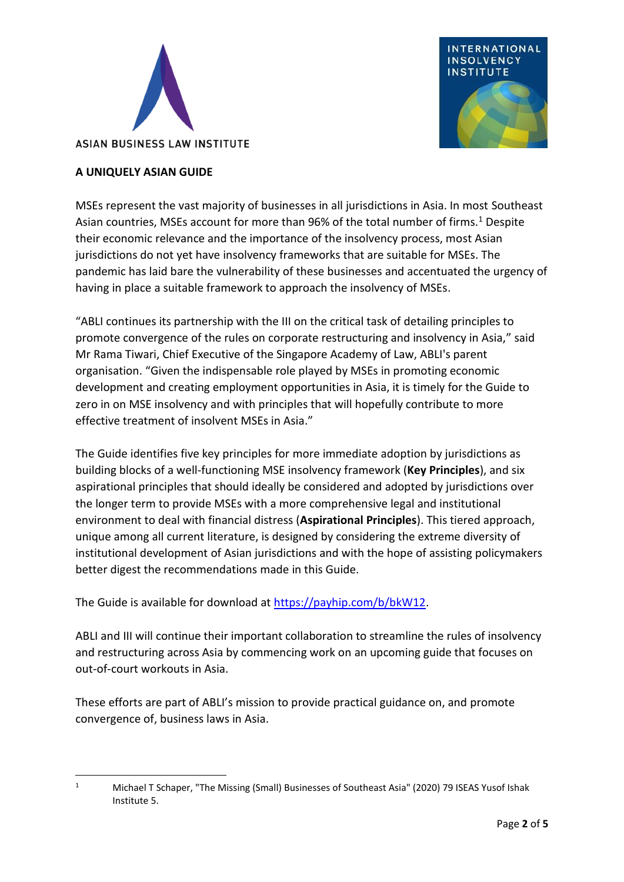



## **A UNIQUELY ASIAN GUIDE**

MSEs represent the vast majority of businesses in all jurisdictions in Asia. In most Southeast Asian countries, MSEs account for more than 96% of the total number of firms.<sup>1</sup> Despite their economic relevance and the importance of the insolvency process, most Asian jurisdictions do not yet have insolvency frameworks that are suitable for MSEs. The pandemic has laid bare the vulnerability of these businesses and accentuated the urgency of having in place a suitable framework to approach the insolvency of MSEs.

"ABLI continues its partnership with the III on the critical task of detailing principles to promote convergence of the rules on corporate restructuring and insolvency in Asia," said Mr Rama Tiwari, Chief Executive of the Singapore Academy of Law, ABLI's parent organisation. "Given the indispensable role played by MSEs in promoting economic development and creating employment opportunities in Asia, it is timely for the Guide to zero in on MSE insolvency and with principles that will hopefully contribute to more effective treatment of insolvent MSEs in Asia."

The Guide identifies five key principles for more immediate adoption by jurisdictions as building blocks of a well-functioning MSE insolvency framework (**Key Principles**), and six aspirational principles that should ideally be considered and adopted by jurisdictions over the longer term to provide MSEs with a more comprehensive legal and institutional environment to deal with financial distress (**Aspirational Principles**). This tiered approach, unique among all current literature, is designed by considering the extreme diversity of institutional development of Asian jurisdictions and with the hope of assisting policymakers better digest the recommendations made in this Guide.

The Guide is available for download at [https://payhip.com/b/bkW12.](https://payhip.com/b/bkW12)

ABLI and III will continue their important collaboration to streamline the rules of insolvency and restructuring across Asia by commencing work on an upcoming guide that focuses on out-of-court workouts in Asia.

These efforts are part of ABLI's mission to provide practical guidance on, and promote convergence of, business laws in Asia.

<sup>1</sup> Michael T Schaper, "The Missing (Small) Businesses of Southeast Asia" (2020) 79 ISEAS Yusof Ishak Institute 5.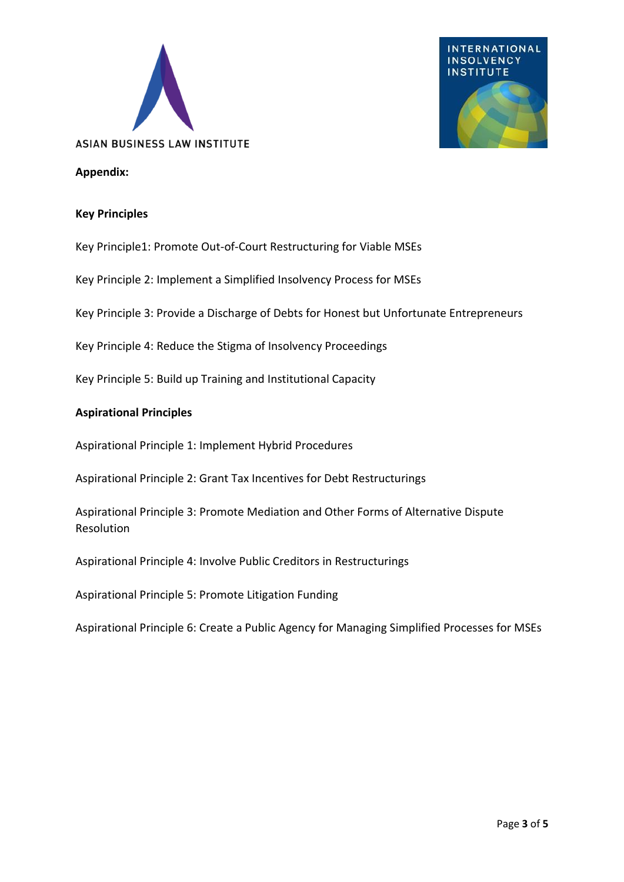



#### **Appendix:**

#### **Key Principles**

Key Principle1: Promote Out-of-Court Restructuring for Viable MSEs

Key Principle 2: Implement a Simplified Insolvency Process for MSEs

Key Principle 3: Provide a Discharge of Debts for Honest but Unfortunate Entrepreneurs

Key Principle 4: Reduce the Stigma of Insolvency Proceedings

Key Principle 5: Build up Training and Institutional Capacity

#### **Aspirational Principles**

Aspirational Principle 1: Implement Hybrid Procedures

Aspirational Principle 2: Grant Tax Incentives for Debt Restructurings

Aspirational Principle 3: Promote Mediation and Other Forms of Alternative Dispute Resolution

Aspirational Principle 4: Involve Public Creditors in Restructurings

Aspirational Principle 5: Promote Litigation Funding

Aspirational Principle 6: Create a Public Agency for Managing Simplified Processes for MSEs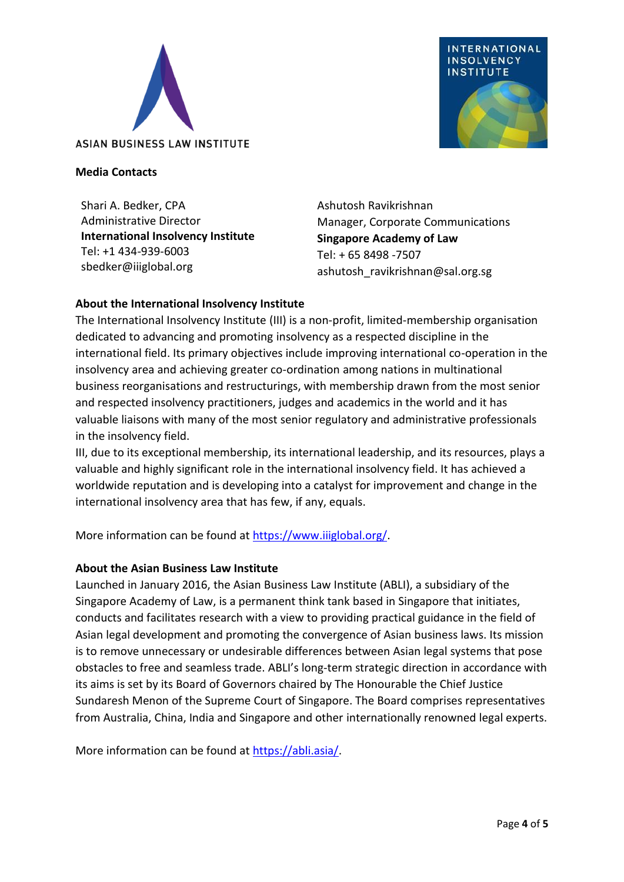



#### **Media Contacts**

Shari A. Bedker, CPA Administrative Director **International Insolvency Institute** Tel: +1 434-939-6003 sbedker@iiiglobal.org

Ashutosh Ravikrishnan Manager, Corporate Communications **Singapore Academy of Law** Tel: + 65 8498 -7507 ashutosh\_ravikrishnan@sal.org.sg

## **About the International Insolvency Institute**

The International Insolvency Institute (III) is a non-profit, limited-membership organisation dedicated to advancing and promoting insolvency as a respected discipline in the international field. Its primary objectives include improving international co-operation in the insolvency area and achieving greater co-ordination among nations in multinational business reorganisations and restructurings, with membership drawn from the most senior and respected insolvency practitioners, judges and academics in the world and it has valuable liaisons with many of the most senior regulatory and administrative professionals in the insolvency field.

III, due to its exceptional membership, its international leadership, and its resources, plays a valuable and highly significant role in the international insolvency field. It has achieved a worldwide reputation and is developing into a catalyst for improvement and change in the international insolvency area that has few, if any, equals.

More information can be found at [https://www.iiiglobal.org/.](https://www.iiiglobal.org/)

### **About the Asian Business Law Institute**

Launched in January 2016, the Asian Business Law Institute (ABLI), a subsidiary of the Singapore Academy of Law, is a permanent think tank based in Singapore that initiates, conducts and facilitates research with a view to providing practical guidance in the field of Asian legal development and promoting the convergence of Asian business laws. Its mission is to remove unnecessary or undesirable differences between Asian legal systems that pose obstacles to free and seamless trade. ABLI's long-term strategic direction in accordance with its aims is set by its Board of Governors chaired by The Honourable the Chief Justice Sundaresh Menon of the Supreme Court of Singapore. The Board comprises representatives from Australia, China, India and Singapore and other internationally renowned legal experts.

More information can be found at [https://abli.asia/.](https://abli.asia/)